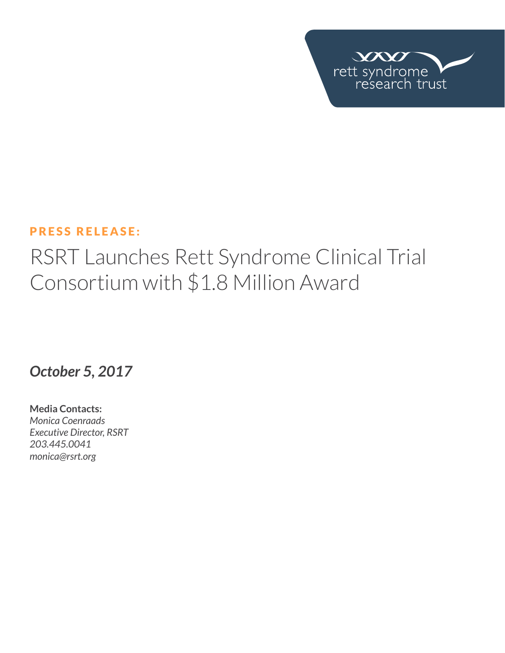

#### PRESS RELEASE:

# RSRT Launches Rett Syndrome Clinical Trial Consortium with \$1.8 Million Award

## *October 5, 2017*

**Media Contacts:**  *Monica Coenraads Executive Director, RSRT 203.445.0041 [monica@rsrt.org](mailto:monica%40rsrt.org?subject=Press%20Release%20%7C%20CSO%20Announce)*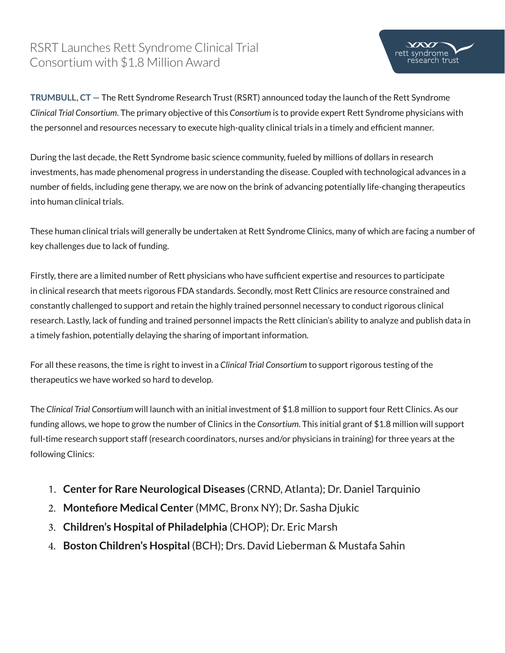## RSRT Launches Rett Syndrome Clinical Trial Consortium with \$1.8 Million Award



 $VX$ ett syndrome

arch trust

During the last decade, the Rett Syndrome basic science community, fueled by millions of dollars in research investments, has made phenomenal progress in understanding the disease. Coupled with technological advances in a number of fields, including gene therapy, we are now on the brink of advancing potentially life-changing therapeutics into human clinical trials.

These human clinical trials will generally be undertaken at Rett Syndrome Clinics, many of which are facing a number of key challenges due to lack of funding.

Firstly, there are a limited number of Rett physicians who have sufficient expertise and resources to participate in clinical research that meets rigorous FDA standards. Secondly, most Rett Clinics are resource constrained and constantly challenged to support and retain the highly trained personnel necessary to conduct rigorous clinical research. Lastly, lack of funding and trained personnel impacts the Rett clinician's ability to analyze and publish data in a timely fashion, potentially delaying the sharing of important information.

For all these reasons, the time is right to invest in a *Clinical Trial Consortium* to support rigorous testing of the therapeutics we have worked so hard to develop.

The *Clinical Trial Consortium* will launch with an initial investment of \$1.8 million to support four Rett Clinics. As our funding allows, we hope to grow the number of Clinics in the *Consortium*. This initial grant of \$1.8 million will support full-time research support staff (research coordinators, nurses and/or physicians in training) for three years at the following Clinics:

- 1. **Center for Rare Neurological Diseases** (CRND, Atlanta); Dr. Daniel Tarquinio
- 2. **Montefiore Medical Center** (MMC, Bronx NY); Dr. Sasha Djukic
- 3. **Children's Hospital of Philadelphia** (CHOP); Dr. Eric Marsh
- 4. **Boston Children's Hospital** (BCH); Drs. David Lieberman & Mustafa Sahin